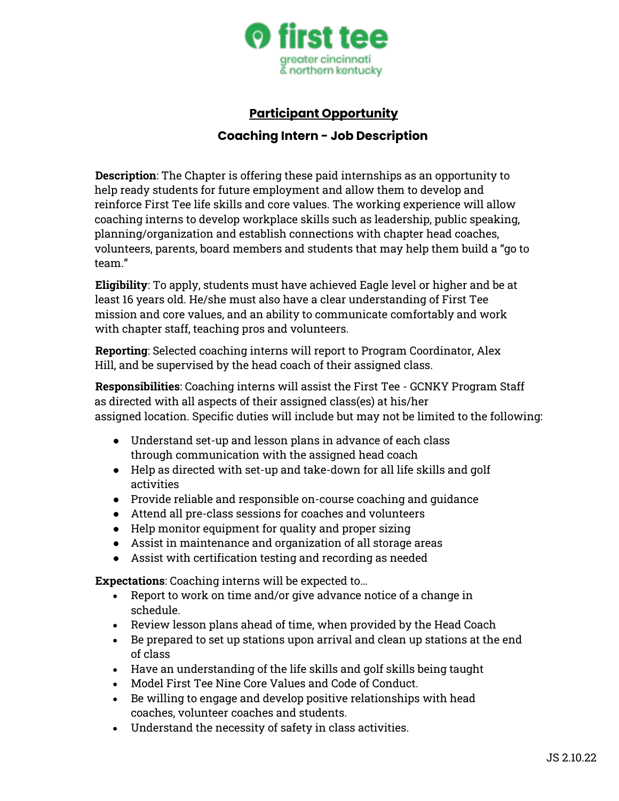

## **Participant Opportunity**

## **Coaching Intern - Job Description**

**Description**: The Chapter is offering these paid internships as an opportunity to help ready students for future employment and allow them to develop and reinforce First Tee life skills and core values. The working experience will allow coaching interns to develop workplace skills such as leadership, public speaking, planning/organization and establish connections with chapter head coaches, volunteers, parents, board members and students that may help them build a "go to team."

**Eligibility**: To apply, students must have achieved Eagle level or higher and be at least 16 years old. He/she must also have a clear understanding of First Tee mission and core values, and an ability to communicate comfortably and work with chapter staff, teaching pros and volunteers.

**Reporting**: Selected coaching interns will report to Program Coordinator, Alex Hill, and be supervised by the head coach of their assigned class.

**Responsibilities**: Coaching interns will assist the First Tee - GCNKY Program Staff as directed with all aspects of their assigned class(es) at his/her assigned location. Specific duties will include but may not be limited to the following:

- Understand set-up and lesson plans in advance of each class through communication with the assigned head coach
- Help as directed with set-up and take-down for all life skills and golf activities
- Provide reliable and responsible on-course coaching and guidance
- Attend all pre-class sessions for coaches and volunteers
- Help monitor equipment for quality and proper sizing
- Assist in maintenance and organization of all storage areas
- Assist with certification testing and recording as needed

**Expectations**: Coaching interns will be expected to…

- Report to work on time and/or give advance notice of a change in schedule.
- Review lesson plans ahead of time, when provided by the Head Coach
- Be prepared to set up stations upon arrival and clean up stations at the end of class
- Have an understanding of the life skills and golf skills being taught
- Model First Tee Nine Core Values and Code of Conduct.
- Be willing to engage and develop positive relationships with head coaches, volunteer coaches and students.
- Understand the necessity of safety in class activities.